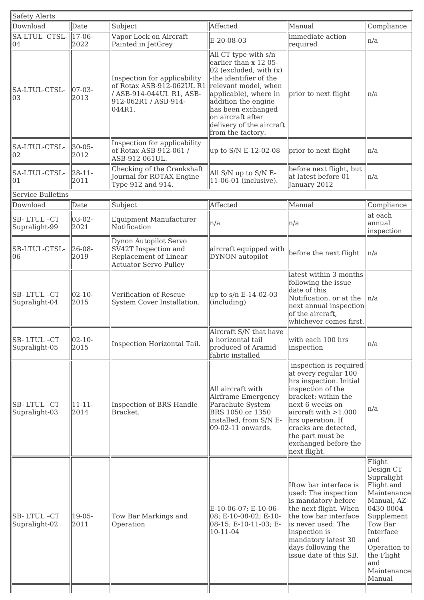| <b>Safety Alerts</b>        |                      |                                                                                                                                              |                                                                                                                                                                                                                                                   |                                                                                                                                                                                                                                                                            |                                                                                                                                                                                                      |
|-----------------------------|----------------------|----------------------------------------------------------------------------------------------------------------------------------------------|---------------------------------------------------------------------------------------------------------------------------------------------------------------------------------------------------------------------------------------------------|----------------------------------------------------------------------------------------------------------------------------------------------------------------------------------------------------------------------------------------------------------------------------|------------------------------------------------------------------------------------------------------------------------------------------------------------------------------------------------------|
| Download                    | Date                 | Subject                                                                                                                                      | Affected                                                                                                                                                                                                                                          | Manual                                                                                                                                                                                                                                                                     | Compliance                                                                                                                                                                                           |
| SA-LTUL- CTSL-<br>04        | $17 - 06$<br>2022    | Vapor Lock on Aircraft<br>Painted in JetGrey                                                                                                 | E-20-08-03                                                                                                                                                                                                                                        | immediate action<br>required                                                                                                                                                                                                                                               | n/a                                                                                                                                                                                                  |
| SA-LTUL-CTSL-<br>03         | $ 07-03-$<br>2013    | Inspection for applicability<br>of Rotax ASB-912-062UL R1 relevant model, when<br>/ ASB-914-044UL R1, ASB-<br>912-062R1 / ASB-914-<br>044R1. | All CT type with s/n<br>earlier than x 12 05-<br>$02$ (excluded, with $(x)$<br>-the identifier of the<br>applicable), where in<br>addition the engine<br>has been exchanged<br>on aircraft after<br>delivery of the aircraft<br>from the factory. | prior to next flight                                                                                                                                                                                                                                                       | n/a                                                                                                                                                                                                  |
| SA-LTUL-CTSL-<br>02         | $30 - 05 -$<br>2012  | Inspection for applicability<br>of Rotax ASB-912-061 /<br>ASB-912-061UL.                                                                     | up to S/N E-12-02-08                                                                                                                                                                                                                              | prior to next flight                                                                                                                                                                                                                                                       | ln/a                                                                                                                                                                                                 |
| SA-LTUL-CTSL-<br>01         | $28 - 11 -$<br>2011  | Checking of the Crankshaft<br>Journal for ROTAX Engine<br>Type 912 and 914.                                                                  | All S/N up to S/N E-<br>11-06-01 (inclusive).                                                                                                                                                                                                     | before next flight, but<br>at latest before 01<br>January 2012                                                                                                                                                                                                             | n/a                                                                                                                                                                                                  |
| <b>Service Bulletins</b>    |                      |                                                                                                                                              |                                                                                                                                                                                                                                                   |                                                                                                                                                                                                                                                                            |                                                                                                                                                                                                      |
| Download                    | Date                 | Subject                                                                                                                                      | Affected                                                                                                                                                                                                                                          | Manual                                                                                                                                                                                                                                                                     | Compliance                                                                                                                                                                                           |
| SB-LTUL-CT<br>Supralight-99 | $ 03-02-$<br>2021    | Equipment Manufacturer<br>Notification                                                                                                       | n/a                                                                                                                                                                                                                                               | n/a                                                                                                                                                                                                                                                                        | at each<br>annual<br>inspection                                                                                                                                                                      |
| SB-LTUL-CTSL-<br>06         | 26-08-<br>2019       | Dynon Autopilot Servo<br>SV42T Inspection and<br>Replacement of Linear<br><b>Actuator Servo Pulley</b>                                       | aircraft equipped with<br>DYNON autopilot                                                                                                                                                                                                         | before the next flight                                                                                                                                                                                                                                                     | n/a                                                                                                                                                                                                  |
| SB-LTUL-CT<br>Supralight-04 | $ 02 - 10 -$<br>2015 | Verification of Rescue<br>System Cover Installation.                                                                                         | $\mu$ p to s/n E-14-02-03<br>$\left  \right $ (including)                                                                                                                                                                                         | latest within 3 months<br>following the issue<br>date of this<br>Notification, or at the<br>next annual inspection<br>of the aircraft,<br>whichever comes first.                                                                                                           | ln/a                                                                                                                                                                                                 |
| SB-LTUL-CT<br>Supralight-05 | $02 - 10 -$<br>2015  | Inspection Horizontal Tail.                                                                                                                  | Aircraft S/N that have<br>a horizontal tail<br>produced of Aramid<br>fabric installed                                                                                                                                                             | with each 100 hrs<br>inspection                                                                                                                                                                                                                                            | n/a                                                                                                                                                                                                  |
| SB-LTUL-CT<br>Supralight-03 | $11 - 11 -$<br>2014  | Inspection of BRS Handle<br>Bracket.                                                                                                         | All aircraft with<br>Airframe Emergency<br>Parachute System<br>BRS 1050 or 1350<br>installed, from S/N E-<br>09-02-11 onwards.                                                                                                                    | inspection is required<br>at every regular 100<br>hrs inspection. Initial<br>inspection of the<br>bracket: within the<br>next 6 weeks on<br>aircraft with > 1.000<br>hrs operation. If<br>cracks are detected,<br>the part must be<br>exchanged before the<br>next flight. | n/a                                                                                                                                                                                                  |
| SB-LTUL-CT<br>Supralight-02 | 19-05-<br>2011       | Tow Bar Markings and<br>Operation                                                                                                            | E-10-06-07; E-10-06-<br>08; E-10-08-02; E-10-<br>08-15; E-10-11-03; E-<br>10-11-04                                                                                                                                                                | Iftow bar interface is<br>used: The inspection<br>is mandatory before<br>the next flight. When<br>the tow bar interface<br>is never used: The<br>inspection is<br>mandatory latest 30<br>days following the<br>issue date of this SB.                                      | Flight<br>Design CT<br>Supralight<br>Flight and<br>Maintenance<br>Manual, AZ<br>0430 0004<br>Supplement<br>Tow Bar<br>Interface<br>and<br>Operation to<br>the Flight<br>and<br>Maintenance<br>Manual |